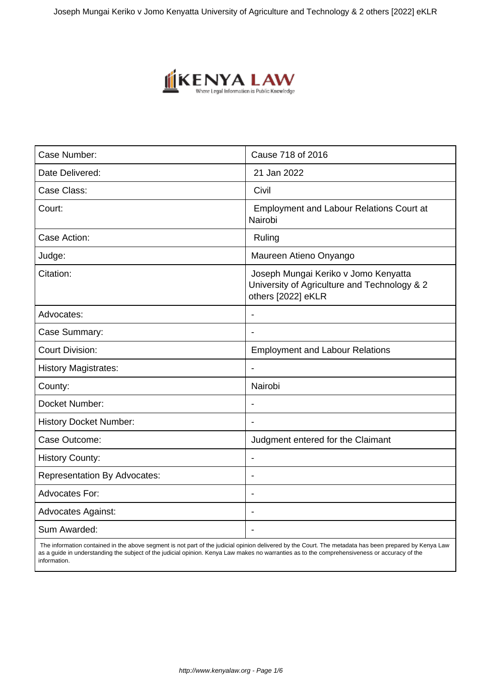Joseph Mungai Keriko v Jomo Kenyatta University of Agriculture and Technology & 2 others [2022] eKLR



| Case Number:                        | Cause 718 of 2016                                                                                          |  |
|-------------------------------------|------------------------------------------------------------------------------------------------------------|--|
| Date Delivered:                     | 21 Jan 2022                                                                                                |  |
| Case Class:                         | Civil                                                                                                      |  |
| Court:                              | <b>Employment and Labour Relations Court at</b><br>Nairobi                                                 |  |
| Case Action:                        | Ruling                                                                                                     |  |
| Judge:                              | Maureen Atieno Onyango                                                                                     |  |
| Citation:                           | Joseph Mungai Keriko v Jomo Kenyatta<br>University of Agriculture and Technology & 2<br>others [2022] eKLR |  |
| Advocates:                          | $\overline{\phantom{a}}$                                                                                   |  |
| Case Summary:                       |                                                                                                            |  |
| <b>Court Division:</b>              | <b>Employment and Labour Relations</b>                                                                     |  |
| <b>History Magistrates:</b>         | $\blacksquare$                                                                                             |  |
| County:                             | Nairobi                                                                                                    |  |
| Docket Number:                      | $\blacksquare$                                                                                             |  |
| <b>History Docket Number:</b>       | $\blacksquare$                                                                                             |  |
| Case Outcome:                       | Judgment entered for the Claimant                                                                          |  |
| <b>History County:</b>              | $\overline{\phantom{a}}$                                                                                   |  |
| <b>Representation By Advocates:</b> |                                                                                                            |  |
| <b>Advocates For:</b>               | $\overline{\phantom{a}}$                                                                                   |  |
| <b>Advocates Against:</b>           | $\blacksquare$                                                                                             |  |
| Sum Awarded:                        |                                                                                                            |  |

 The information contained in the above segment is not part of the judicial opinion delivered by the Court. The metadata has been prepared by Kenya Law as a guide in understanding the subject of the judicial opinion. Kenya Law makes no warranties as to the comprehensiveness or accuracy of the information.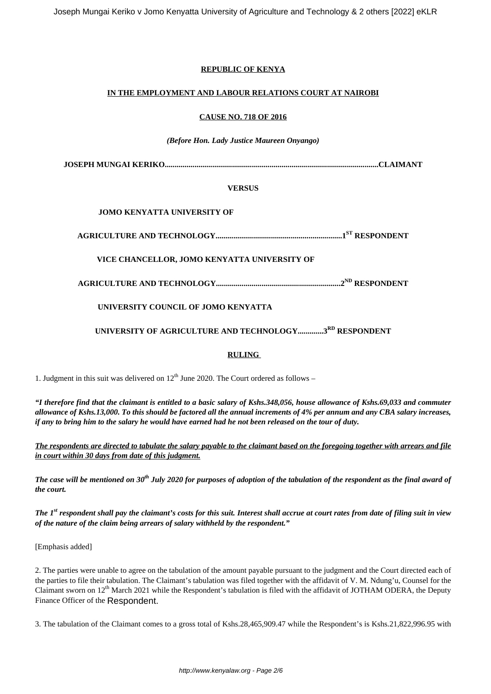Joseph Mungai Keriko v Jomo Kenyatta University of Agriculture and Technology & 2 others [2022] eKLR

## **REPUBLIC OF KENYA**

### **IN THE EMPLOYMENT AND LABOUR RELATIONS COURT AT NAIROBI**

#### **CAUSE NO. 718 OF 2016**

#### *(Before Hon. Lady Justice Maureen Onyango)*

**JOSEPH MUNGAI KERIKO............................................................................................................CLAIMANT**

### **VERSUS**

## **JOMO KENYATTA UNIVERSITY OF**

**AGRICULTURE AND TECHNOLOGY................................................................1ST RESPONDENT**

# **VICE CHANCELLOR, JOMO KENYATTA UNIVERSITY OF**

**AGRICULTURE AND TECHNOLOGY...............................................................2ND RESPONDENT**

# **UNIVERSITY COUNCIL OF JOMO KENYATTA**

# **UNIVERSITY OF AGRICULTURE AND TECHNOLOGY.............3RD RESPONDENT**

## **RULING**

1. Judgment in this suit was delivered on  $12<sup>th</sup>$  June 2020. The Court ordered as follows –

*"I therefore find that the claimant is entitled to a basic salary of Kshs.348,056, house allowance of Kshs.69,033 and commuter allowance of Kshs.13,000. To this should be factored all the annual increments of 4% per annum and any CBA salary increases, if any to bring him to the salary he would have earned had he not been released on the tour of duty.*

*The respondents are directed to tabulate the salary payable to the claimant based on the foregoing together with arrears and file in court within 30 days from date of this judgment.*

*The case will be mentioned on 30th July 2020 for purposes of adoption of the tabulation of the respondent as the final award of the court.*

*The 1st respondent shall pay the claimant's costs for this suit. Interest shall accrue at court rates from date of filing suit in view of the nature of the claim being arrears of salary withheld by the respondent."*

[Emphasis added]

2. The parties were unable to agree on the tabulation of the amount payable pursuant to the judgment and the Court directed each of the parties to file their tabulation. The Claimant's tabulation was filed together with the affidavit of V. M. Ndung'u, Counsel for the Claimant sworn on  $12<sup>th</sup>$  March 2021 while the Respondent's tabulation is filed with the affidavit of JOTHAM ODERA, the Deputy Finance Officer of the Respondent.

3. The tabulation of the Claimant comes to a gross total of Kshs.28,465,909.47 while the Respondent's is Kshs.21,822,996.95 with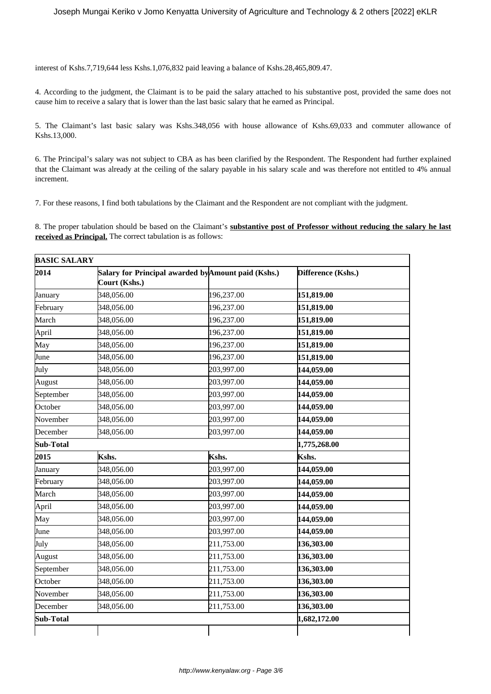interest of Kshs.7,719,644 less Kshs.1,076,832 paid leaving a balance of Kshs.28,465,809.47.

4. According to the judgment, the Claimant is to be paid the salary attached to his substantive post, provided the same does not cause him to receive a salary that is lower than the last basic salary that he earned as Principal.

5. The Claimant's last basic salary was Kshs.348,056 with house allowance of Kshs.69,033 and commuter allowance of Kshs.13,000.

6. The Principal's salary was not subject to CBA as has been clarified by the Respondent. The Respondent had further explained that the Claimant was already at the ceiling of the salary payable in his salary scale and was therefore not entitled to 4% annual increment.

7. For these reasons, I find both tabulations by the Claimant and the Respondent are not compliant with the judgment.

8. The proper tabulation should be based on the Claimant's **substantive post of Professor without reducing the salary he last received as Principal.** The correct tabulation is as follows:

| <b>BASIC SALARY</b> |                                                                      |              |                    |
|---------------------|----------------------------------------------------------------------|--------------|--------------------|
| 2014                | Salary for Principal awarded by Amount paid (Kshs.)<br>Court (Kshs.) |              | Difference (Kshs.) |
| January             | 348,056.00                                                           | 196,237.00   | 151,819.00         |
| February            | 348,056.00                                                           | 196,237.00   | 151,819.00         |
| March               | 348,056.00                                                           | 196,237.00   | 151,819.00         |
| April               | 348,056.00                                                           | 196,237.00   | 151,819.00         |
| May                 | 348,056.00                                                           | 196,237.00   | 151,819.00         |
| June                | 348,056.00                                                           | 196,237.00   | 151,819.00         |
| July                | 348,056.00                                                           | 203,997.00   | 144,059.00         |
| August              | 348,056.00                                                           | 203,997.00   | 144,059.00         |
| September           | 348,056.00                                                           | 203,997.00   | 144,059.00         |
| October             | 348,056.00                                                           | 203,997.00   | 144,059.00         |
| November            | 348,056.00                                                           | 203,997.00   | 144,059.00         |
| December            | 348,056.00                                                           | 203,997.00   | 144,059.00         |
| Sub-Total           |                                                                      |              | 1,775,268.00       |
| 2015                | Kshs.                                                                | Kshs.        | Kshs.              |
| January             | 348,056.00                                                           | 203,997.00   | 144,059.00         |
| February            | 348,056.00                                                           | 203,997.00   | 144,059.00         |
| March               | 348,056.00                                                           | 203,997.00   | 144,059.00         |
| April               | 348,056.00                                                           | 203,997.00   | 144,059.00         |
| May                 | 348,056.00                                                           | 203,997.00   | 144,059.00         |
| June                | 348,056.00                                                           | 203,997.00   | 144,059.00         |
| July                | 348,056.00                                                           | 211,753.00   | 136,303.00         |
| August              | 348,056.00                                                           | 211,753.00   | 136,303.00         |
| September           | 348,056.00                                                           | 211,753.00   | 136,303.00         |
| October             | 348,056.00                                                           | 211,753.00   | 136,303.00         |
| November            | 348,056.00                                                           | 211,753.00   | 136,303.00         |
| December            | 348,056.00                                                           | 211,753.00   | 136,303.00         |
| Sub-Total           |                                                                      | 1,682,172.00 |                    |
|                     |                                                                      |              |                    |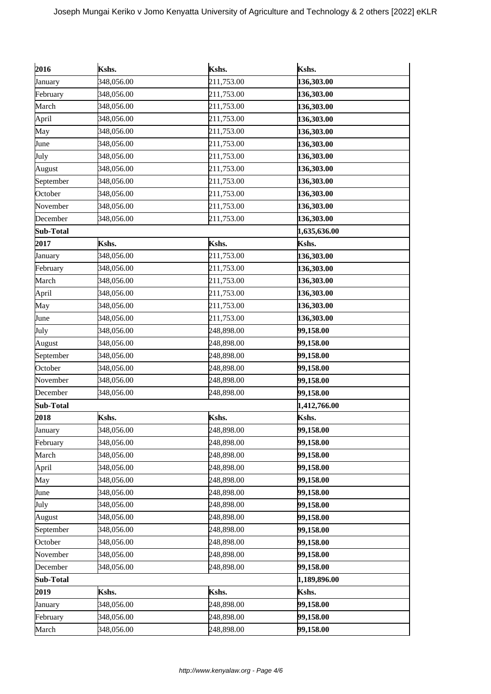| 2016      | Kshs.      | Kshs.      | Kshs.        |
|-----------|------------|------------|--------------|
| January   | 348,056.00 | 211,753.00 | 136,303.00   |
| February  | 348,056.00 | 211,753.00 | 136,303.00   |
| March     | 348,056.00 | 211,753.00 | 136,303.00   |
| April     | 348,056.00 | 211,753.00 | 136,303.00   |
| May       | 348,056.00 | 211,753.00 | 136,303.00   |
| June      | 348,056.00 | 211,753.00 | 136,303.00   |
| July      | 348,056.00 | 211,753.00 | 136,303.00   |
| August    | 348,056.00 | 211,753.00 | 136,303.00   |
| September | 348,056.00 | 211,753.00 | 136,303.00   |
| October   | 348,056.00 | 211,753.00 | 136,303.00   |
| November  | 348,056.00 | 211,753.00 | 136,303.00   |
| December  | 348,056.00 | 211,753.00 | 136,303.00   |
| Sub-Total |            |            | 1,635,636.00 |
| 2017      | Kshs.      | Kshs.      | Kshs.        |
| January   | 348,056.00 | 211,753.00 | 136,303.00   |
| February  | 348,056.00 | 211,753.00 | 136,303.00   |
| March     | 348,056.00 | 211,753.00 | 136,303.00   |
| April     | 348,056.00 | 211,753.00 | 136,303.00   |
| May       | 348,056.00 | 211,753.00 | 136,303.00   |
| June      | 348,056.00 | 211,753.00 | 136,303.00   |
| July      | 348,056.00 | 248,898.00 | 99,158.00    |
| August    | 348,056.00 | 248,898.00 | 99,158.00    |
| September | 348,056.00 | 248,898.00 | 99,158.00    |
| October   | 348,056.00 | 248,898.00 | 99,158.00    |
| November  | 348,056.00 | 248,898.00 | 99,158.00    |
| December  | 348,056.00 | 248,898.00 | 99,158.00    |
| Sub-Total |            |            | 1,412,766.00 |
| 2018      | Kshs.      | Kshs.      | Kshs.        |
| January   | 348,056.00 | 248,898.00 | 99,158.00    |
| February  | 348,056.00 | 248,898.00 | 99,158.00    |
| March     | 348,056.00 | 248,898.00 | 99,158.00    |
| April     | 348,056.00 | 248,898.00 | 99,158.00    |
| May       | 348,056.00 | 248,898.00 | 99,158.00    |
| June      | 348,056.00 | 248,898.00 | 99,158.00    |
| July      | 348,056.00 | 248,898.00 | 99,158.00    |
| August    | 348,056.00 | 248,898.00 | 99,158.00    |
| September | 348,056.00 | 248,898.00 | 99,158.00    |
| October   | 348,056.00 | 248,898.00 | 99,158.00    |
| November  | 348,056.00 | 248,898.00 | 99,158.00    |
| December  | 348,056.00 | 248,898.00 | 99,158.00    |
| Sub-Total |            |            | 1,189,896.00 |
| 2019      | Kshs.      | Kshs.      | Kshs.        |
| January   | 348,056.00 | 248,898.00 | 99,158.00    |
| February  | 348,056.00 | 248,898.00 | 99,158.00    |
| March     | 348,056.00 | 248,898.00 | 99,158.00    |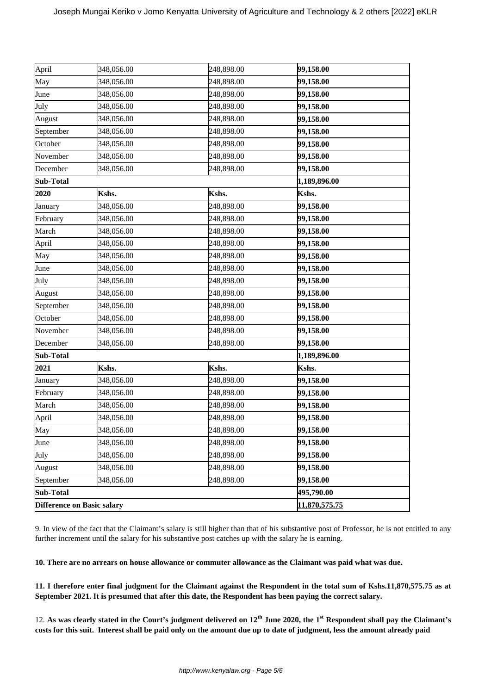| Difference on Basic salary |            |              | 11,870,575.75 |
|----------------------------|------------|--------------|---------------|
| Sub-Total                  |            | 495,790.00   |               |
| September                  | 348,056.00 | 248,898.00   | 99,158.00     |
| August                     | 348,056.00 | 248,898.00   | 99,158.00     |
| July                       | 348,056.00 | 248,898.00   | 99,158.00     |
| June                       | 348,056.00 | 248,898.00   | 99,158.00     |
| May                        | 348,056.00 | 248,898.00   | 99,158.00     |
| April                      | 348,056.00 | 248,898.00   | 99,158.00     |
| March                      | 348,056.00 | 248,898.00   | 99,158.00     |
| February                   | 348,056.00 | 248,898.00   | 99,158.00     |
| January                    | 348,056.00 | 248,898.00   | 99,158.00     |
| 2021                       | Kshs.      | Kshs.        | Kshs.         |
| Sub-Total                  |            | 1,189,896.00 |               |
| December                   | 348,056.00 | 248,898.00   | 99,158.00     |
| November                   | 348,056.00 | 248,898.00   | 99,158.00     |
| October                    | 348,056.00 | 248,898.00   | 99,158.00     |
| September                  | 348,056.00 | 248,898.00   | 99,158.00     |
| August                     | 348,056.00 | 248,898.00   | 99,158.00     |
| July                       | 348,056.00 | 248,898.00   | 99,158.00     |
| June                       | 348,056.00 | 248,898.00   | 99,158.00     |
| May                        | 348,056.00 | 248,898.00   | 99,158.00     |
| April                      | 348,056.00 | 248,898.00   | 99,158.00     |
| March                      | 348,056.00 | 248,898.00   | 99,158.00     |
| February                   | 348,056.00 | 248,898.00   | 99,158.00     |
| January                    | 348,056.00 | 248,898.00   | 99,158.00     |
| 2020                       | Kshs.      | Kshs.        | Kshs.         |
| Sub-Total                  |            |              | 1,189,896.00  |
| December                   | 348,056.00 | 248,898.00   | 99,158.00     |
| November                   | 348,056.00 | 248,898.00   | 99,158.00     |
| October                    | 348,056.00 | 248,898.00   | 99,158.00     |
| September                  | 348,056.00 | 248,898.00   | 99,158.00     |
| August                     | 348,056.00 | 248,898.00   | 99,158.00     |
| July                       | 348,056.00 | 248,898.00   | 99,158.00     |
| June                       | 348,056.00 | 248,898.00   | 99,158.00     |
| May                        | 348,056.00 | 248,898.00   | 99,158.00     |
| April                      | 348,056.00 | 248,898.00   | 99,158.00     |

9. In view of the fact that the Claimant's salary is still higher than that of his substantive post of Professor, he is not entitled to any further increment until the salary for his substantive post catches up with the salary he is earning.

**10. There are no arrears on house allowance or commuter allowance as the Claimant was paid what was due.**

**11. I therefore enter final judgment for the Claimant against the Respondent in the total sum of Kshs.11,870,575.75 as at September 2021. It is presumed that after this date, the Respondent has been paying the correct salary.**

12. **As was clearly stated in the Court's judgment delivered on 12th June 2020, the 1st Respondent shall pay the Claimant's costs for this suit. Interest shall be paid only on the amount due up to date of judgment, less the amount already paid**